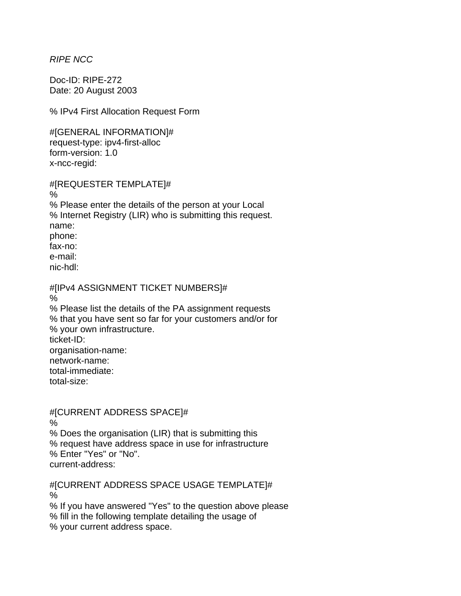*RIPE NCC* 

Doc-ID: RIPE-272 Date: 20 August 2003

% IPv4 First Allocation Request Form

#[GENERAL INFORMATION]# request-type: ipv4-first-alloc form-version: 1.0 x-ncc-regid:

#[REQUESTER TEMPLATE]# % % Please enter the details of the person at your Local % Internet Registry (LIR) who is submitting this request. name: phone: fax-no: e-mail: nic-hdl: #[IPv4 ASSIGNMENT TICKET NUMBERS]# % % Please list the details of the PA assignment requests

% that you have sent so far for your customers and/or for % your own infrastructure. ticket-ID: organisation-name: network-name: total-immediate: total-size:

#[CURRENT ADDRESS SPACE]# %

% Does the organisation (LIR) that is submitting this % request have address space in use for infrastructure % Enter "Yes" or "No". current-address:

#[CURRENT ADDRESS SPACE USAGE TEMPLATE]# %

% If you have answered "Yes" to the question above please % fill in the following template detailing the usage of % your current address space.